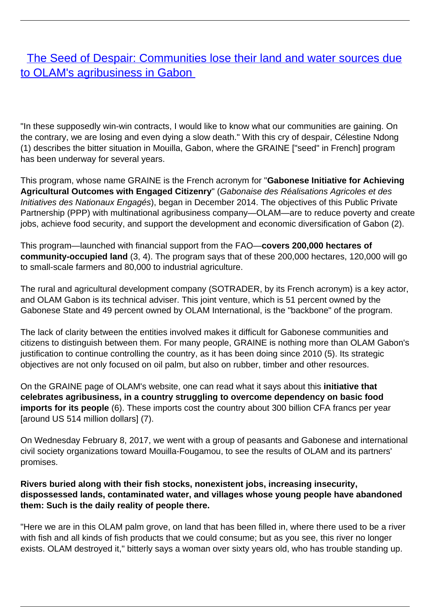## [The Seed of Despair: Communities lose their land and water sources due](/bulletin-articles/the-seed-of-despair-communities-lose-their-land-and-water-sources-due-to-olams-agribusiness-in-gabon) [to OLAM's agribusiness in Gabon](/bulletin-articles/the-seed-of-despair-communities-lose-their-land-and-water-sources-due-to-olams-agribusiness-in-gabon)

"In these supposedly win-win contracts, I would like to know what our communities are gaining. On the contrary, we are losing and even dying a slow death." With this cry of despair, Célestine Ndong (1) describes the bitter situation in Mouilla, Gabon, where the GRAINE ["seed" in French] program has been underway for several years.

This program, whose name GRAINE is the French acronym for "**Gabonese Initiative for Achieving Agricultural Outcomes with Engaged Citizenry**" (Gabonaise des Réalisations Agricoles et des Initiatives des Nationaux Engagés), began in December 2014. The objectives of this Public Private Partnership (PPP) with multinational agribusiness company—OLAM—are to reduce poverty and create jobs, achieve food security, and support the development and economic diversification of Gabon (2).

This program—launched with financial support from the FAO—**covers 200,000 hectares of community-occupied land** (3, 4). The program says that of these 200,000 hectares, 120,000 will go to small-scale farmers and 80,000 to industrial agriculture.

The rural and agricultural development company (SOTRADER, by its French acronym) is a key actor, and OLAM Gabon is its technical adviser. This joint venture, which is 51 percent owned by the Gabonese State and 49 percent owned by OLAM International, is the "backbone" of the program.

The lack of clarity between the entities involved makes it difficult for Gabonese communities and citizens to distinguish between them. For many people, GRAINE is nothing more than OLAM Gabon's justification to continue controlling the country, as it has been doing since 2010 (5). Its strategic objectives are not only focused on oil palm, but also on rubber, timber and other resources.

On the GRAINE page of OLAM's website, one can read what it says about this **initiative that celebrates agribusiness, in a country struggling to overcome dependency on basic food imports for its people** (6). These imports cost the country about 300 billion CFA francs per year [around US 514 million dollars] (7).

On Wednesday February 8, 2017, we went with a group of peasants and Gabonese and international civil society organizations toward Mouilla-Fougamou, to see the results of OLAM and its partners' promises.

## **Rivers buried along with their fish stocks, nonexistent jobs, increasing insecurity, dispossessed lands, contaminated water, and villages whose young people have abandoned them: Such is the daily reality of people there.**

"Here we are in this OLAM palm grove, on land that has been filled in, where there used to be a river with fish and all kinds of fish products that we could consume; but as you see, this river no longer exists. OLAM destroyed it," bitterly says a woman over sixty years old, who has trouble standing up.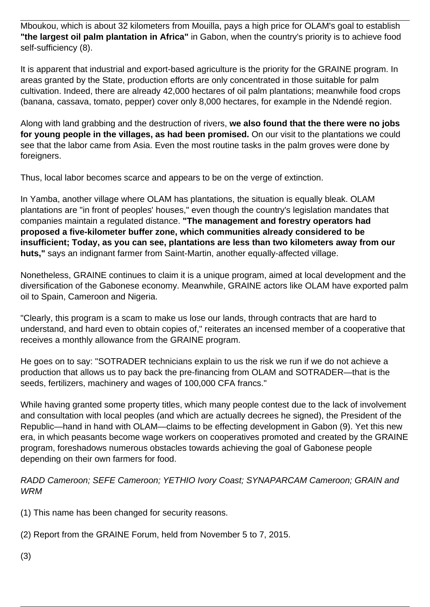Mboukou, which is about 32 kilometers from Mouilla, pays a high price for OLAM's goal to establish **"the largest oil palm plantation in Africa"** in Gabon, when the country's priority is to achieve food self-sufficiency (8).

It is apparent that industrial and export-based agriculture is the priority for the GRAINE program. In areas granted by the State, production efforts are only concentrated in those suitable for palm cultivation. Indeed, there are already 42,000 hectares of oil palm plantations; meanwhile food crops (banana, cassava, tomato, pepper) cover only 8,000 hectares, for example in the Ndendé region.

Along with land grabbing and the destruction of rivers, **we also found that the there were no jobs for young people in the villages, as had been promised.** On our visit to the plantations we could see that the labor came from Asia. Even the most routine tasks in the palm groves were done by foreigners.

Thus, local labor becomes scarce and appears to be on the verge of extinction.

In Yamba, another village where OLAM has plantations, the situation is equally bleak. OLAM plantations are "in front of peoples' houses," even though the country's legislation mandates that companies maintain a regulated distance. **"The management and forestry operators had proposed a five-kilometer buffer zone, which communities already considered to be insufficient; Today, as you can see, plantations are less than two kilometers away from our huts,"** says an indignant farmer from Saint-Martin, another equally-affected village.

Nonetheless, GRAINE continues to claim it is a unique program, aimed at local development and the diversification of the Gabonese economy. Meanwhile, GRAINE actors like OLAM have exported palm oil to Spain, Cameroon and Nigeria.

"Clearly, this program is a scam to make us lose our lands, through contracts that are hard to understand, and hard even to obtain copies of," reiterates an incensed member of a cooperative that receives a monthly allowance from the GRAINE program.

He goes on to say: "SOTRADER technicians explain to us the risk we run if we do not achieve a production that allows us to pay back the pre-financing from OLAM and SOTRADER—that is the seeds, fertilizers, machinery and wages of 100,000 CFA francs."

While having granted some property titles, which many people contest due to the lack of involvement and consultation with local peoples (and which are actually decrees he signed), the President of the Republic—hand in hand with OLAM—claims to be effecting development in Gabon (9). Yet this new era, in which peasants become wage workers on cooperatives promoted and created by the GRAINE program, foreshadows numerous obstacles towards achieving the goal of Gabonese people depending on their own farmers for food.

RADD Cameroon; SEFE Cameroon; YETHIO Ivory Coast; SYNAPARCAM Cameroon; GRAIN and WRM

(1) This name has been changed for security reasons.

(2) Report from the GRAINE Forum, held from November 5 to 7, 2015.